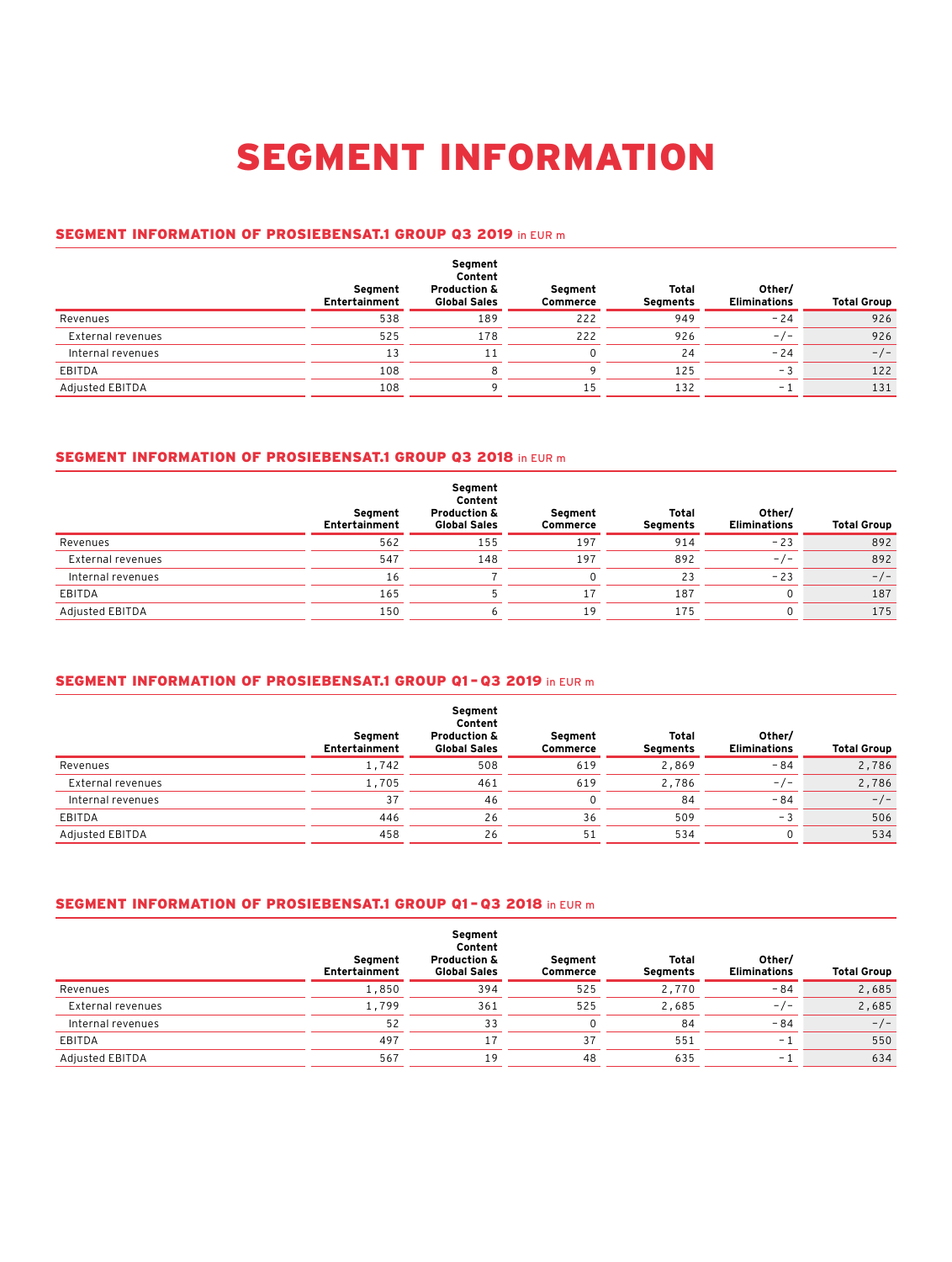# SEGMENT INFORMATION

#### SEGMENT INFORMATION OF PROSIEBENSAT.1 GROUP Q3 2019 in EUR m

|                   | Segment<br>Entertainment | Segment<br>Content<br><b>Production &amp;</b><br><b>Global Sales</b> | Segment<br>Commerce | Total<br>Segments | Other/<br><b>Eliminations</b> | <b>Total Group</b> |
|-------------------|--------------------------|----------------------------------------------------------------------|---------------------|-------------------|-------------------------------|--------------------|
| Revenues          | 538                      | 189                                                                  | 222                 | 949               | $-24$                         | 926                |
| External revenues | 525                      | 178                                                                  | 222                 | 926               | $-/-$                         | 926                |
| Internal revenues | 13                       | 11                                                                   |                     | 24                | $-24$                         | $-/-$              |
| EBITDA            | 108                      | 8                                                                    |                     | 125               | $-3$                          | 122                |
| Adjusted EBITDA   | 108                      |                                                                      | 15                  | 132               | - 1                           | 131                |

### SEGMENT INFORMATION OF PROSIEBENSAT.1 GROUP Q3 2018 in EUR m

|                   | Segment<br>Entertainment | Segment<br>Content<br><b>Production &amp;</b><br><b>Global Sales</b> | Segment<br><b>Commerce</b> | Total<br>Segments | Other/<br><b>Eliminations</b> | <b>Total Group</b> |
|-------------------|--------------------------|----------------------------------------------------------------------|----------------------------|-------------------|-------------------------------|--------------------|
| Revenues          | 562                      | 155                                                                  | 197                        | 914               | $-23$                         | 892                |
| External revenues | 547                      | 148                                                                  | 197                        | 892               | $-/-$                         | 892                |
| Internal revenues | 16                       |                                                                      |                            | 23                | $-23$                         | $-/-$              |
| EBITDA            | 165                      |                                                                      | 17                         | 187               | 0                             | 187                |
| Adjusted EBITDA   | 150                      |                                                                      | 19                         | 175               | <sup>0</sup>                  | 175                |

### SEGMENT INFORMATION OF PROSIEBENSAT.1 GROUP Q1 – Q3 2019 in EUR m

|                   | Seament<br>Entertainment | Segment<br>Content<br><b>Production &amp;</b><br><b>Global Sales</b> | Segment<br>Commerce | Total<br>Segments | Other/<br><b>Eliminations</b> | <b>Total Group</b> |
|-------------------|--------------------------|----------------------------------------------------------------------|---------------------|-------------------|-------------------------------|--------------------|
| Revenues          | 1,742                    | 508                                                                  | 619                 | 2,869             | $-84$                         | 2,786              |
| External revenues | 1,705                    | 461                                                                  | 619                 | 2,786             | $-/-$                         | 2,786              |
| Internal revenues | 37                       | 46                                                                   |                     | 84                | $-84$                         | $-/-$              |
| EBITDA            | 446                      | 26                                                                   | 36                  | 509               | - 3                           | 506                |
| Adjusted EBITDA   | 458                      | 26                                                                   | 51                  | 534               |                               | 534                |

#### SEGMENT INFORMATION OF PROSIEBENSAT.1 GROUP Q1 – Q3 2018 in EUR m

|                   | Segment<br>Entertainment | Segment<br>Content<br><b>Production &amp;</b><br><b>Global Sales</b> | Seament<br>Commerce | Total<br>Segments | Other/<br><b>Eliminations</b> | <b>Total Group</b> |
|-------------------|--------------------------|----------------------------------------------------------------------|---------------------|-------------------|-------------------------------|--------------------|
| Revenues          | 1,850                    | 394                                                                  | 525                 | 2,770             | $-84$                         | 2,685              |
| External revenues | 1,799                    | 361                                                                  | 525                 | 2,685             | $-/-$                         | 2,685              |
| Internal revenues | 52                       | 33                                                                   |                     | 84                | $-84$                         | $-/-$              |
| EBITDA            | 497                      |                                                                      | 37                  | 551               | - 1                           | 550                |
| Adjusted EBITDA   | 567                      | 19                                                                   | 48                  | 635               | $ \overline{ }$               | 634                |